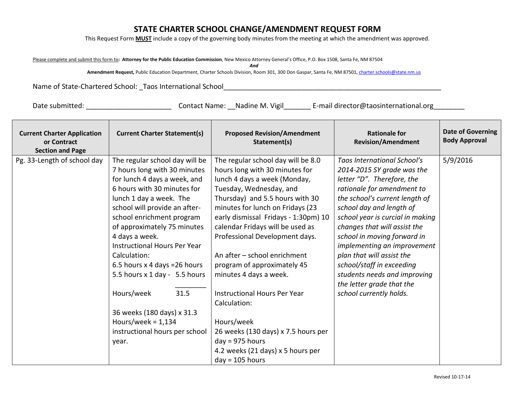## **STATE CHARTER SCHOOL CHANGE/AMENDMENT REQUEST FORM**

This Request Form **MUST** include a copy of the governing body minutes from the meeting at which the amendment was approved.

Please complete and submit this form to**: Attorney for the Public Education Commission**, New Mexico Attorney General's Office, P.O. Box 1508, Santa Fe, NM 87504

*And*

**Amendment Request,** Public Education Department, Charter Schools Division, Room 301, 300 Don Gaspar, Santa Fe, NM 87501[, charter.schools@state.nm.us](mailto:charter.schools@state.nm.us)

Name of State-Chartered School: \_Taos International School\_\_\_\_\_\_\_\_\_\_\_\_\_\_\_\_\_\_\_\_\_\_\_\_\_\_\_\_\_\_\_\_\_\_\_\_\_\_\_\_\_\_\_\_\_\_\_\_\_\_\_\_\_\_\_\_

Date submitted: \_\_\_\_\_\_\_\_\_\_\_\_\_\_\_\_\_\_\_\_\_\_\_\_\_\_\_\_\_Contact Name: \_\_Nadine M. Vigil\_\_\_\_\_\_\_\_\_E-mail director@taosinternational.org\_\_\_\_\_\_\_\_\_

| <b>Current Charter Application</b><br>or Contract<br><b>Section and Page</b> | <b>Current Charter Statement(s)</b> | <b>Proposed Revision/Amendment</b><br>Statement(s) | <b>Rationale for</b><br><b>Revision/Amendment</b>         | <b>Date of Governing</b><br><b>Body Approval</b> |
|------------------------------------------------------------------------------|-------------------------------------|----------------------------------------------------|-----------------------------------------------------------|--------------------------------------------------|
| Pg. 33-Length of school day                                                  | The regular school day will be      | The regular school day will be 8.0                 | Taos International School's                               | 5/9/2016                                         |
|                                                                              | 7 hours long with 30 minutes        | hours long with 30 minutes for                     | 2014-2015 SY grade was the                                |                                                  |
|                                                                              | for lunch 4 days a week, and        | lunch 4 days a week (Monday,                       | letter "D". Therefore, the                                |                                                  |
|                                                                              | 6 hours with 30 minutes for         | Tuesday, Wednesday, and                            | rationale for amendment to                                |                                                  |
|                                                                              | lunch 1 day a week. The             | Thursday) and 5.5 hours with 30                    | the school's current length of                            |                                                  |
|                                                                              | school will provide an after-       | minutes for lunch on Fridays (23                   | school day and length of                                  |                                                  |
|                                                                              | school enrichment program           | early dismissal Fridays - 1:30pm) 10               | school year is curcial in making                          |                                                  |
|                                                                              | of approximately 75 minutes         | calendar Fridays will be used as                   | changes that will assist the                              |                                                  |
|                                                                              | 4 days a week.                      | Professional Development days.                     | school in moving forward in                               |                                                  |
|                                                                              | <b>Instructional Hours Per Year</b> |                                                    | implementing an improvement                               |                                                  |
|                                                                              | Calculation:                        | An after - school enrichment                       | plan that will assist the                                 |                                                  |
|                                                                              | 6.5 hours x 4 days = 26 hours       | program of approximately 45                        | school/staff in exceeding                                 |                                                  |
|                                                                              | 5.5 hours x 1 day - 5.5 hours       | minutes 4 days a week.                             | students needs and improving<br>the letter grade that the |                                                  |
|                                                                              | 31.5<br>Hours/week                  | Instructional Hours Per Year                       | school currently holds.                                   |                                                  |
|                                                                              |                                     | Calculation:                                       |                                                           |                                                  |
|                                                                              | 36 weeks (180 days) x 31.3          |                                                    |                                                           |                                                  |
|                                                                              | Hours/week = $1,134$                | Hours/week                                         |                                                           |                                                  |
|                                                                              | instructional hours per school      | 26 weeks (130 days) x 7.5 hours per                |                                                           |                                                  |
|                                                                              | year.                               | $day = 975 hours$                                  |                                                           |                                                  |
|                                                                              |                                     | 4.2 weeks (21 days) x 5 hours per                  |                                                           |                                                  |
|                                                                              |                                     | $day = 105 hours$                                  |                                                           |                                                  |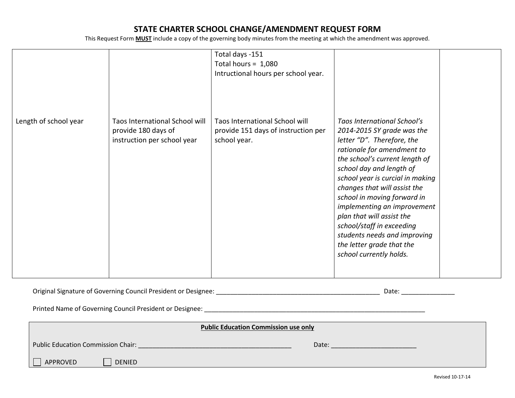## **STATE CHARTER SCHOOL CHANGE/AMENDMENT REQUEST FORM**

This Request Form **MUST** include a copy of the governing body minutes from the meeting at which the amendment was approved.

|                       |                                                                                      | Total days -151<br>Total hours = $1,080$<br>Intructional hours per school year.       |                                                                                                                                                                                                                                                                                                                                                                                                                                                                                |  |
|-----------------------|--------------------------------------------------------------------------------------|---------------------------------------------------------------------------------------|--------------------------------------------------------------------------------------------------------------------------------------------------------------------------------------------------------------------------------------------------------------------------------------------------------------------------------------------------------------------------------------------------------------------------------------------------------------------------------|--|
| Length of school year | Taos International School will<br>provide 180 days of<br>instruction per school year | Taos International School will<br>provide 151 days of instruction per<br>school year. | <b>Taos International School's</b><br>2014-2015 SY grade was the<br>letter "D". Therefore, the<br>rationale for amendment to<br>the school's current length of<br>school day and length of<br>school year is curcial in making<br>changes that will assist the<br>school in moving forward in<br>implementing an improvement<br>plan that will assist the<br>school/staff in exceeding<br>students needs and improving<br>the letter grade that the<br>school currently holds. |  |

| : Council President or Designee:<br>Original<br>u Signature of Governing Car |  | ¬¬+¬<br><b>Udlt</b> |
|------------------------------------------------------------------------------|--|---------------------|
|------------------------------------------------------------------------------|--|---------------------|

Printed Name of Governing Council President or Designee: \_\_\_\_\_\_\_\_\_\_\_\_\_\_\_\_\_\_\_\_\_\_\_\_\_\_\_\_\_\_\_\_\_\_\_\_\_\_\_\_\_\_\_\_\_\_\_\_\_\_\_\_\_\_\_\_\_\_\_\_\_\_

| <b>Public Education Commission use only</b> |       |  |  |  |
|---------------------------------------------|-------|--|--|--|
| <b>Public Education Commission Chair:</b>   | Date: |  |  |  |
| APPROVED<br><b>DENIED</b>                   |       |  |  |  |